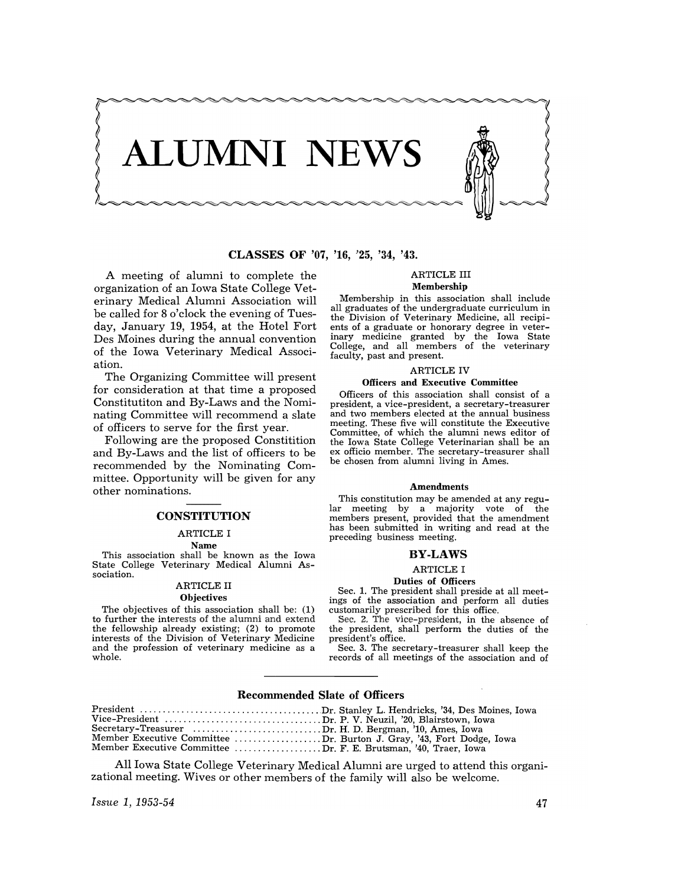

CLASSES OF '07, '16, '25, '34, '43.

A meeting of alumni to complete the organization of an Iowa State College Veterinary Medical Alumni Association will be called for 8 o'clock the evening of Tuesday, January 19, 1954, at the Hotel Fort Des Moines during the annual convention of the Iowa Veterinary Medical Association.

The Organizing Committee will present for consideration at that time a proposed Constitutiton and By-Laws and the Nominating Committee will recommend a slate of officers to serve for the first year.

Following are the proposed Constitition and By-Laws and the list of officers to be recommended by the Nominating Committee. Opportunity will be given for any other nominations.

## **CONSTITUTION**

# ARTICLE I

Name This association shall be known as the Iowa State College Veterinary Medical Alumni Association.

# ARTICLE II

# **Objectives**

The objectives of this association shall be: (1) to further the interests of the alumni and extend the fellowship already existing; (2) to promote interests of the Division of Veterinary Medicine and the profession of veterinary medicine as a whole.

## ARTICLE III Membership

Membership in this association shall include all graduates of the undergraduate curriculum in the Division of Veterinary Medicine, all recipients of a graduate or honorary degree in veterinary medicine granted by the Iowa State College, and all members of the veterinary faculty, past and present.

## ARTICLE IV

**Officers and Executive Committee**<br>Officers of this association shall consist of a president, a vice-president, a secretary-treasurer and two members elected at the annual business meeting. These five will constitute the Executive Committee, of which the alumni news editor of the Iowa State College Veterinarian shall be an ex officio member. The secretary-treasurer shall be chosen from alumni living in Ames.

#### **Amendments**

This constitution may be amended at any regular meeting by a majority vote of the members present, provided that the amendment has been submitted in writing and read at the preceding business meeting.

#### BY·LAWS

#### ARTICLE I

#### Duties of Officers

Sec. 1. The president shall preside at all meetings of the association and perform all duties customarily prescribed for this office.

Sec. 2. The vice-president, in the absence of the president, shall perform the duties of the president's office.

Sec. 3. The secretary-treasurer shall keep the records of all meetings of the association and of

## Recommended Slate of Officers

| Secretary-Treasurer Dr. H. D. Bergman, '10, Ames, Iowa               |  |
|----------------------------------------------------------------------|--|
| Member Executive Committee Dr. Burton J. Gray, '43, Fort Dodge, Iowa |  |
| Member Executive Committee Dr. F. E. Brutsman, '40, Traer, Iowa      |  |

All Iowa State College Veterinary Medical Alumni are urged to attend this organizational meeting. Wives or other members of the family will also be welcome.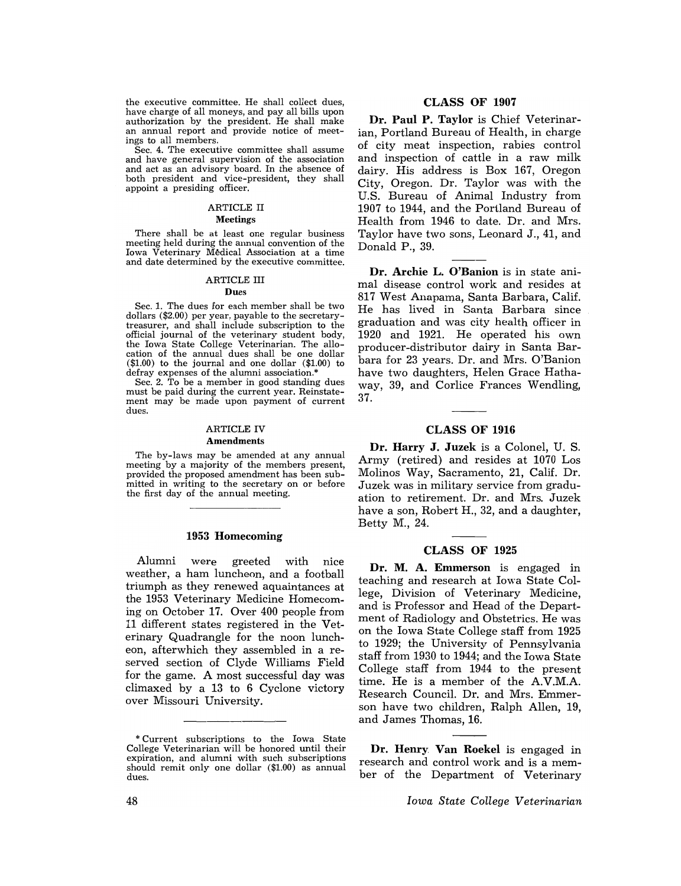the executive committee. He shall collect dues, have charge of all moneys, and pay all bills upon authorization by the president. He shall make an annual report and provide notice of meetings to all members.

Sec. 4. The executive committee shall assume and have general supervision of the association and act as an advisory board. In the absence of both president and vice-president, they shall appoint a presiding officer.

# ARTICLE II

## Meetings

There shall be at least one regular business meeting held during the annual convention of the Iowa Veterinary Médical Association at a time and date determined by the executive committee.

#### ARTICLE III

#### Dues

Sec. 1. The dues for each member shall be two dollars (\$2.00) per year, payable to the secretarytreasurer, and shall include subscription to the official journal of the veterinary student body, the Iowa State College Veterinarian. The allocation of the annual dues shall be one dollar (\$1.00) to the journal and one dollar (\$1.00) to defray expenses of the alumni association.\*

Sec. 2. To be a member in good standing dues must be paid during the current year. Reinstatement may be made upon payment of current dues.

#### ARTICLE IV **Amendments**

The by-laws may be amended at any annual meeting by a majority of the members present, provided the proposed amendment has been submitted in writing to the secretary on or before the first day of the annual meeting.

## 1953 Homecoming

Alumni were greeted with nice weather, a ham luncheon, and a football triumph as they renewed aquaintances at the 1953 Veterinary Medicine Homecoming on October 17. Over 400 people from 11 different states registered in the Veterinary Quadrangle for the noon luncheon, after which they assembled in a reserved section of Clyde Williams Field for the game. A most successful day was climaxed by a 13 to 6 Cyclone victory over Missouri University.

# CLASS OF 1907

Dr. Paul P. Taylor is Chief Veterinarian, Portland Bureau of Health, in charge of city meat inspection, rabies control and inspection of cattle in a raw milk dairy. His address is Box 167, Oregon City, Oregon. Dr. Taylor was with the U.S. Bureau of Animal Industry from 1907 to 1944, and the Portland Bureau of Health from 1946 to date. Dr. and Mrs. Taylor have two sons, Leonard J., 41, and Donald P.,39.

Dr. Archie L. O'Banion is in state animal disease control work and resides at 817 West Anapama, Santa Barbara, Calif. He has lived in Santa Barbara since graduation and was city health officer in 1920 and 1921. He operated his own producer-distributor dairy in Santa Barbara for 23 years. Dr. and Mrs. O'Banion have two daughters, Helen Grace Hathaway, 39, and Corlice Frances Wendling, 37.

# CLASS OF 1916

Dr. Harry J. Juzek is a Colonel, U. S. Army (retired) and resides at 1070 Los Molinos Way, Sacramento, 21, Calif. Dr. Juzek was in military service from graduation to retirement. Dr. and Mrs. Juzek have a son, Robert H., 32, and a daughter, Betty M., 24.

#### CLASS OF 1925

Dr. M. A. Emmerson is engaged in teaching and research at Iowa State College, Division of Veterinary Medicine, and is Professor and Head of the Department of Radiology and Obstetrics. He was on the Iowa State College staff from 1925 to 1929; the University of Pennsylvania staff from 1930 to 1944; and the Iowa State College staff from 1944 to the present time. He is a member of the A.V.M.A. Research Council. Dr. and Mrs. Emmerson have two children, Ralph Allen, 19, and James Thomas, 16.

Dr. Henry Van Roekel is engaged in research and control work and is a member of the Department of Veterinary

<sup>\*</sup> Current subscriptions to the Iowa State College Veterinarian will be honored until their expiration, and alumni with such subscriptions should remit only one dollar (\$1.00) as annual dues.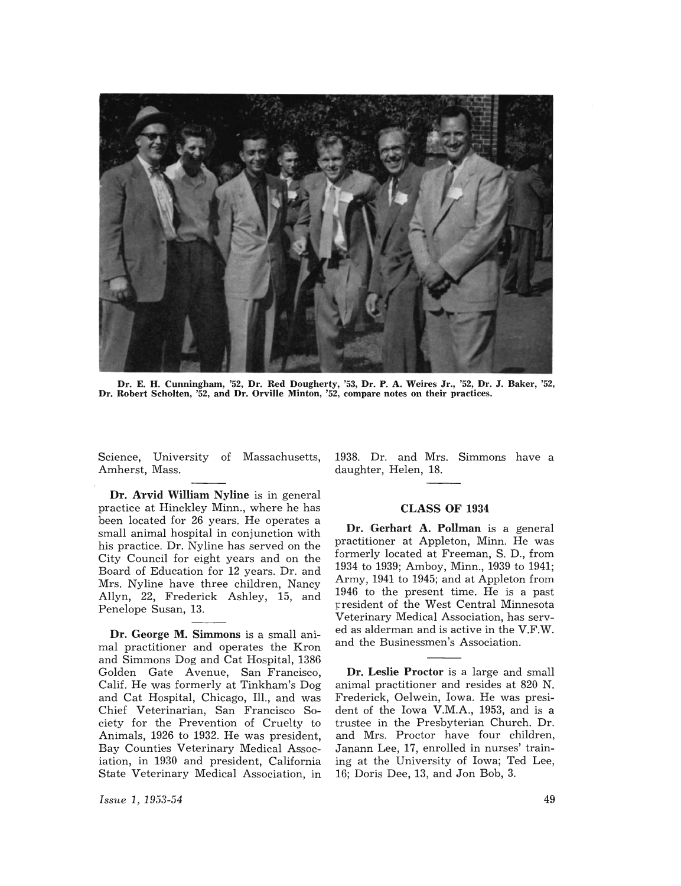

Dr. E. H. Cunningham, '52, Dr. Red Dougherty, '53, Dr. P. A. Weires Jr., '52, Dr. J. Baker, '52, Dr. Robert Scholten, '52, and Dr. Orville Minton, '52, compare notes on their practices.

Amherst, Mass. **and School School** daughter, Helen, 18.

Dr. Arvid William Nyline is in general practice at Hinckley Minn., where he has been located for 26 years. He operates a small animal hospital in conjunction with his practice. Dr. Nyline has served on the City Council for eight years and on the Board of Education for 12 years. Dr. and Mrs. Nyline have three children, Nancy Allyn, 22, Frederick Ashley, 15, and Penelope Susan, 13.

Dr. George M. Simmons is a small animal practitioner and operates the Kron and Simmons Dog and Cat Hospital, 1386 Golden Gate Avenue, San Francisco, Calif. He was formerly at Tinkham's Dog and Cat Hospital, Chicago, Ill., and was Chief Veterinarian, San Francisco Society for the Prevention of Cruelty to Animals, 1926 to 1932. He was president, Bay Counties Veterinary Medical Association, in 1930 and president, California State Veterinary Medical Association, in

Science, University of Massachusetts, 1938. Dr. and Mrs. Simmons have a

# CLASS **OF** 1934

Dr. Gerhart A. Pollman is a general practitioner at Appleton, Minn. He was formerly located at Freeman, S. D., from 1934 to 1939; Amboy, Minn., 1939 to 1941; Army, 1941 to 1945; and at Appleton from 1946 to the present time. He is a past rresident of the West Central Minnesota Veterinary Medical Association, has served as alderman and is active in the V.F.W. and the Businessmen's Association.

Dr. Leslie Proctor is a large and small animal practitioner and resides at 820 N. Frederick, Oelwein, Iowa. He was president of the Iowa V.M.A., 1953, and is a trustee in the Presbyterian Church. Dr. and Mrs. Proctor have four children, Janann Lee, 17, enrolled in nurses' training at the University of Iowa; Ted Lee, 16; Doris Dee, 13, and Jon Bob, 3.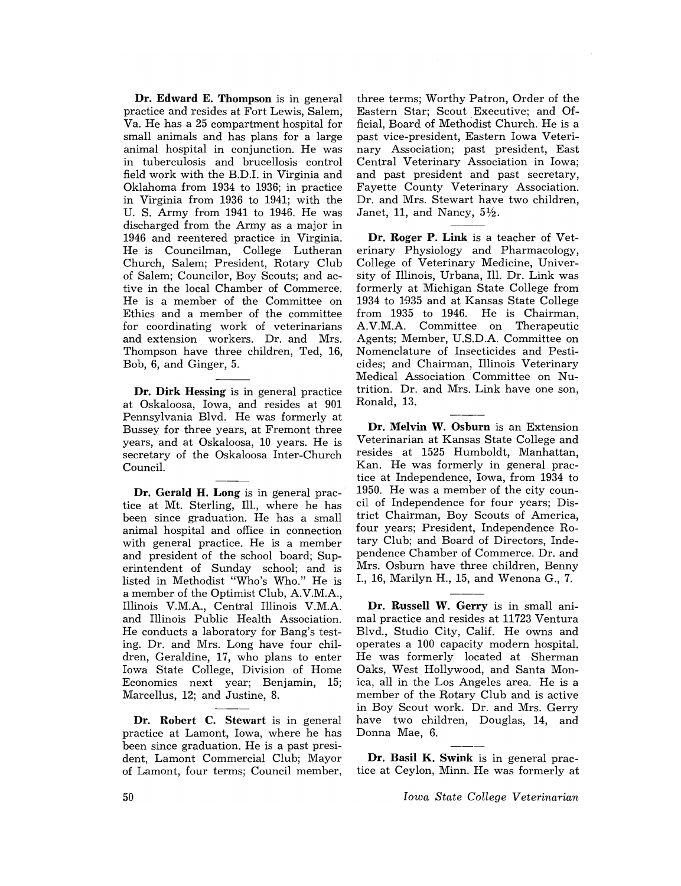Dr. Edward E. Thompson is in general practice and resides at Fort Lewis, Salem, Va. He has a 25 compartment hospital for small animals and has plans for a large animal hospital in conjunction. He was in tuberculosis and brucellosis control field work with the B.D.I. in Virginia and Oklahoma from 1934 to 1936; in practice in Virginia from 1936 to 1941; with the U. S. Army from 1941 to 1946. He was discharged from the Army as a major in 1946 and reentered practice in Virginia. He is Councilman, College Lutheran Church, Salem; President, Rotary Club of Salem; Councilor, Boy Scouts; and active in the local Chamber of Commerce. He is a member of the Committee on Ethics and a member of the committee for coordinating work of veterinarians and extension workers. Dr. and Mrs. Thompson have three children, Ted, 16, Bob, 6, and Ginger, 5.

Dr. Dirk Hessing is in general practice at Oskaloosa, Iowa, and resides at 901 Pennsylvania Blvd. He was formerly at Bussey for three years, at Fremont three years, and at Oskaloosa, 10 years. He is secretary of the Oskaloosa Inter-Church Council.

Dr. Gerald H. Long is in general practice at Mt. Sterling, Ill., where he has been since graduation. He has a small animal hospital and office in connection with general practice. He is a member and president of the school board; Superintendent of Sunday school; and is listed in Methodist "Who's Who." He is a member of the Optimist Club, A.V.M.A., Illinois V.M.A, Central Illinois V.M.A and Illinois Public Health Association. He conducts a laboratory for Bang's testing. Dr. and Mrs. Long have four children, Geraldine, 17, who plans to enter Iowa State College, Division of Home Economics next year; Benjamin, 15; Marcellus, 12; and Justine, 8.

Dr. Robert C. Stewart is in general practice at Lamont, Iowa, where he has been since graduation. He is a past president, Lamont Commercial Club; Mayor of Lamont, four terms; Council member, three terms; Worthy Patron, Order of the Eastern Star; Scout Executive; and Official, Board of Methodist Church. He is a past vice-president, Eastern Iowa Veterinary Association; past president, East Central Veterinary Association in Iowa; and past president and past secretary, Fayette County Veterinary Association. Dr. and Mrs. Stewart have two children, Janet, 11, and Nancy,  $5\frac{1}{2}$ .

Dr. Roger P. Link is a teacher of Veterinary Physiology and Pharmacology, College of Veterinary Medicine, University of Illinois, Urbana, Ill. Dr. Link was formerly at Michigan State College from 1934 to 1935 and at Kansas State College from 1935 to 1946. He is Chairman, AV.M.A. Committee on Therapeutic Agents; Member, U.S.D.A. Committee on Nomenclature of Insecticides and Pesticides; and Chairman, Illinois Veterinary Medical Association Committee on Nutrition. Dr. and Mrs. Link have one son, Ronald, 13.

Dr. Melvin W. Osburn is an Extension Veterinarian at Kansas State College and resides at 1525 Humboldt, Manhattan, Kan. He was formerly in general practice at Independence, Iowa, from 1934 to 1950. He was a member of the city council of Independence for four years; District Chairman, Boy Scouts of America, four years; President, Independence Rotary Club; and Board of Directors, Independence Chamber of Commerce. Dr. and Mrs. Osburn have three children, Benny I., 16, Marilyn H., 15, and Wenona G., 7.

Dr. Russell W. Gerry is in small animal practice and resides at 11723 Ventura Blvd., Studio City, Calif. He owns and operates a 100 capacity modern hospital. He was formerly located at Sherman Oaks, West Hollywood, and Santa Monica, all in the Los Angeles area. He is a member of the Rotary Club and is active in Boy Scout work. Dr. and Mrs. Gerry have two children, Douglas, 14, and Donna Mae, 6.

Dr. Basil K. Swink is in general practice at Ceylon, Minn. He was formerly at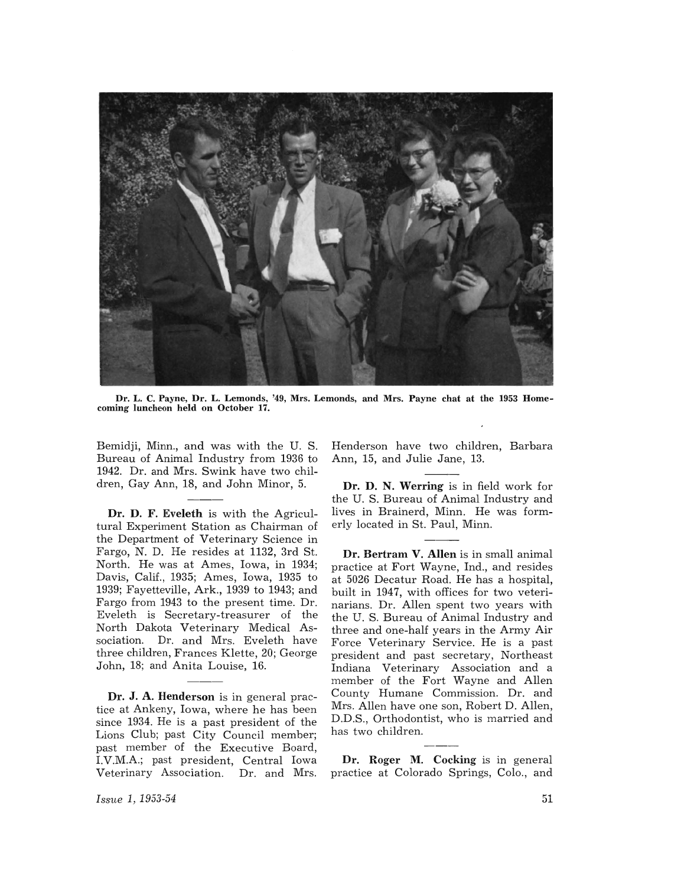

Dr. L. C. Payne, Dr. L. Lemonds, '49, Mrs. Lemonds, and Mrs. Payne chat at the 1953 Homecoming luncheon held on October 17.

Bemidji, Minn., and was with the U. S. Bureau of Animal Industry from 1936 to 1942. Dr. and Mrs. Swink have two children, Gay Ann, 18, and John Minor, 5.

Dr. D. F. Eveleth is with the Agricultural Experiment Station as Chairman of the Department of Veterinary Science in Fargo, N. D. He resides at 1132, 3rd St. North. He was at Ames, Iowa, in 1934; Davis, Calif., 1935; Ames, Iowa, 1935 to 1939; Fayetteville, Ark., 1939 to 1943; and Fargo from 1943 to the present time. Dr. Eveleth is Secretary-treasurer of the North Dakota Veterinary Medical Association. Dr. and Mrs. Eveleth have three children, Frances Klette, 20; George John, 18; and Anita Louise, 16.

Dr. J. A. Henderson is in general practice at Ankeny, Iowa, where he has been since 1934. He is a past president of the Lions Club; past City Council member; past member of the Executive Board, I.V.M.A.; past president, Central Iowa Veterinary Association. Dr. and Mrs. Henderson have two children, Barbara Ann, 15, and Julie Jane, 13.

Dr. D. N. Werring is in field work for the U. S. Bureau of Animal Industry and lives in Brainerd, Minn. He was formerly located in St. Paul, Minn.

Dr. Bertram V. Allen is in small animal practice at Fort Wayne, Ind., and resides at 5026 Decatur Road. He has a hospital, built in 1947, with offices for two veterinarians. Dr. Allen spent two years with the U. S. Bureau of Animal Industry and three and one-half years in the Army Air Force Veterinary Service. He is a past president and past secretary, Northeast Indiana Veterinary Association and a member of the Fort Wayne and Allen County Humane Commission. Dr. and Mrs. Allen have one son, Robert D. Allen, D.D.S., Orthodontist, who is married and has two children.

Dr. Roger M. Cocking is in general practice at Colorado Springs, Colo., and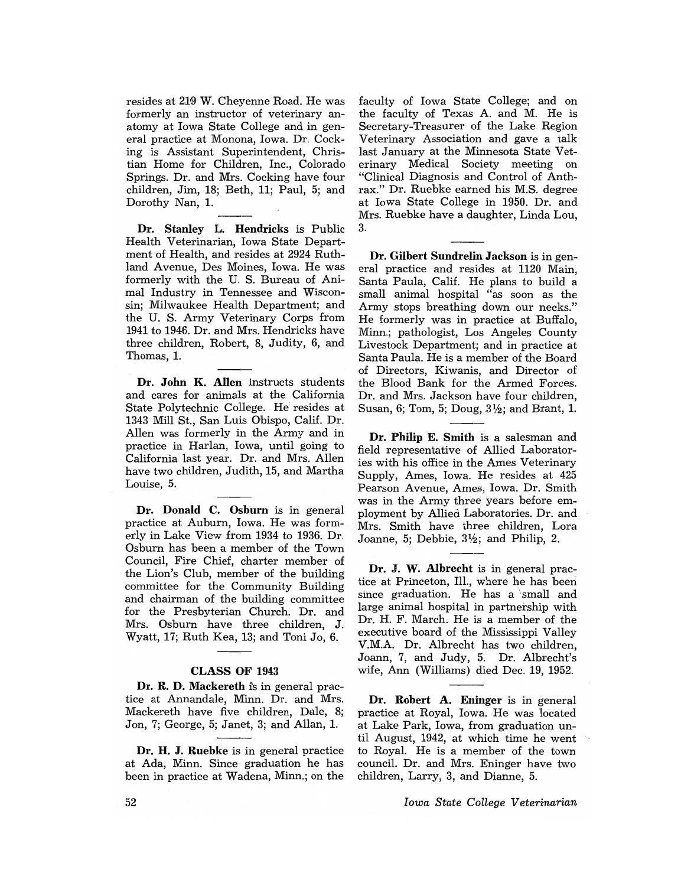resides at 219 W. Cheyenne Road. He was formerly an instructor of veterinary anatomy at Iowa State College and in general practice at Monona, Iowa. Dr. Cocking is Assistant Superintendent, Christian Home for Children, Inc., Colorado Springs. Dr. and Mrs. Cocking have four children, Jim, 18; Beth, 11; Paul, 5; and Dorothy Nan, 1.

Dr. Stanley L. Hendricks is Public Health Veterinarian, Iowa State Department of Health, and resides at 2924 Ruthland Avenue, Des Moines, Iowa. He was formerly with the U. S. Bureau of Animal Industry in Tennessee and Wisconsin; Milwaukee Health Department; and the U. S. Army Veterinary Corps from 1941 to 1946. Dr. and Mrs. Hendricks have three children, Robert, 8, Judity, 6, and Thomas, 1.

Dr. John K. Allen instructs students and cares for animals at the California State Polytechnic College. He resides at 1343 Mill St., San Luis Obispo, Calif. Dr. Allen was formerly in the Army and in practice in Harlan, Iowa, until going to California last year. Dr. and Mrs. Allen have two children, Judith, 15, and Martha Louise, 5.

Dr. Donald C. Osburn is in general practice at Auburn, Iowa. He was formerly in Lake View from 1934 to 1936. Dr. Osburn has been a member of the Town Council, Fire Chief, charter member of the Lion's Club, member of the building committee for the Community Building and chairman of the building committee for the Presbyterian Church. Dr. and Mrs. Osburn have three children, J. Wyatt, 17; Ruth Kea, 13; and Toni Jo, 6.

## CLASS OF 1943

Dr. R. D. Mackereth is in general practice at Annandale, Minn. Dr. and Mrs. Mackereth have five children, Dale, 8; Jon, 7; George, 5; Janet, 3; and Allan, 1.

Dr. H. J. Ruebke is in general practice at Ada, Minn. Since graduation he has been in practice at Wadena, Minn.; on the faculty of Iowa State College; and on the faculty of Texas A. and M. He is Secretary-Treasurer of the Lake Region Veterinary Association and gave a talk last January at the Minnesota State Veterinary Medical Society meeting on "Clinical Diagnosis and Control of Anthrax." Dr. Ruebke earned his M.S. degree at Iowa State College in 1950. Dr. and Mrs. Ruebke have a daughter, Linda Lou, 3.

Dr. Gilbert Sundrelin Jackson is in general practice and resides at 1120 Main, Santa Paula, Calif. He plans to build a small animal hospital "as soon as the Army stops breathing down our necks." He formerly was in practice at Buffalo, Minn.; pathologist, Los Angeles County Livestock Department; and in practice at Santa Paula. He is a member of the Board of Directors, Kiwanis, and Director of the Blood Bank for the Armed Forces. Dr. and Mrs. Jackson have four children, Susan, 6; Tom, 5; Doug,  $3\frac{1}{2}$ ; and Brant, 1.

Dr. Philip E. Smith is a salesman and field representative of Allied Laboratories with his office in the Ames Veterinary Supply, Ames, Iowa. He resides at 425 Pearson Avenue, Ames, Iowa. Dr. Smith was in the Army three years before employment by Allied Laboratories. Dr. and Mrs. Smith have three children, Lora Joanne, 5; Debbie,  $3\frac{1}{2}$ ; and Philip, 2.

Dr. J. W. Albrecht is in general practice at Princeton, TI1., where he has been since graduation. He has a small and large animal hospital in partnership with Dr. H. F. March. He is a member of the executive board of the Mississippi Valley V.M.A. Dr. Albrecht has two children, Joann, 7, and Judy, 5. Dr. Albrecht's wife, Ann (Williams) died Dec. 19, 1952.

Dr. Robert A. Eninger is in general practice at Royal, Iowa. He was located at Lake Park, Iowa, from graduation until August, 1942, at which time he went to Roya1. He is a member of the town counci1. Dr. and Mrs. Eninger have two children, Larry, 3, and Dianne, 5.

*Iowa State College Veterinarian*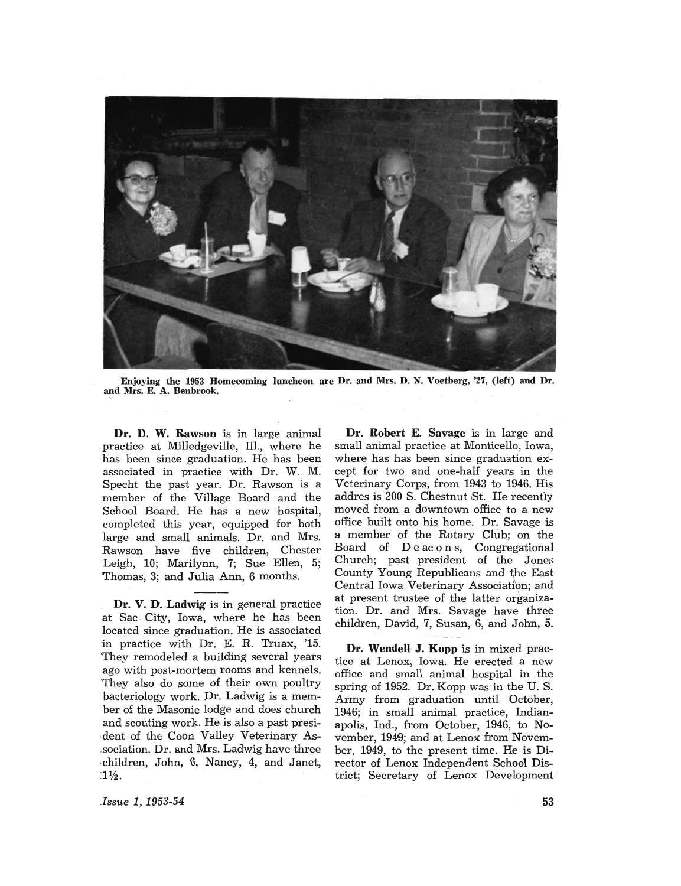

Enjoying the 1953 Homecoming luncheon are Dr. and Mrs. D. N. Voetberg, '27, (left) and Dr. and Mrs. E. A. Benbrook.

Dr. D. W. Rawson is in large animal practice at Milledgeville, Ill., where he has been since graduation. He has been associated in practice with Dr. W. M. Specht the past year. Dr. Rawson is a member of the Village Board and the School Board. He has a new hospital, completed this year, equipped for both large and small animals. Dr. and Mrs. Rawson have five children, Chester Leigh, 10; Marilynn, 7; Sue Ellen, 5; Thomas, 3; and Julia Ann, 6 months.

Dr. V. D. Ladwig is in general practice .at Sac City, Iowa, where he has been located since graduation. He is associated .in practice with Dr. E. R. Truax, '15. 'They remodeled a building several years ago with post-mortem rooms and kennels. 'They also do some of their own poultry bacteriology work. Dr. Ladwig is a member of the Masonic lodge and does church and scouting work. He is also a past presi dent of the Coon Valley Veterinary As-,sociation. Dr. and Mrs. Ladwig have three . children, John, 6,Nancy, 4, and Janet,  $1\frac{1}{2}$ .

Dr. Robert E. Savage is in large and small animal practice at Monticello, Iowa, where has has been since graduation except for two and one-half years in the Veterinary Corps, from 1943 to 1946. His addres is 200 S; Chestnut St. He recently moved from a downtown office to a new office built onto his home. Dr. Savage is a member of the Rotary Club; on the Board of D e ac 0 n s, Congregational Church; past president of the Jones County Young Republicans and the East Central Iowa Veterinary Association; and at present trustee of the latter organization. Dr. and Mrs. Savage have three children, David, 7, Susan, 6, and John, 5.

Dr. Wendell J. Kopp is in mixed practice at Lenox, Iowa. He erected a new office and small animal hospital in the spring of 1952. Dr. Kopp was in the U. S. Army from graduation until October, 1946; in small animal practice, Indianapolis, Ind., from October, 1946, to November, 1949; and at Lenox from November, 1949, to the present time. He is Director of Lenox Independent School District; Secretary of Lenox Development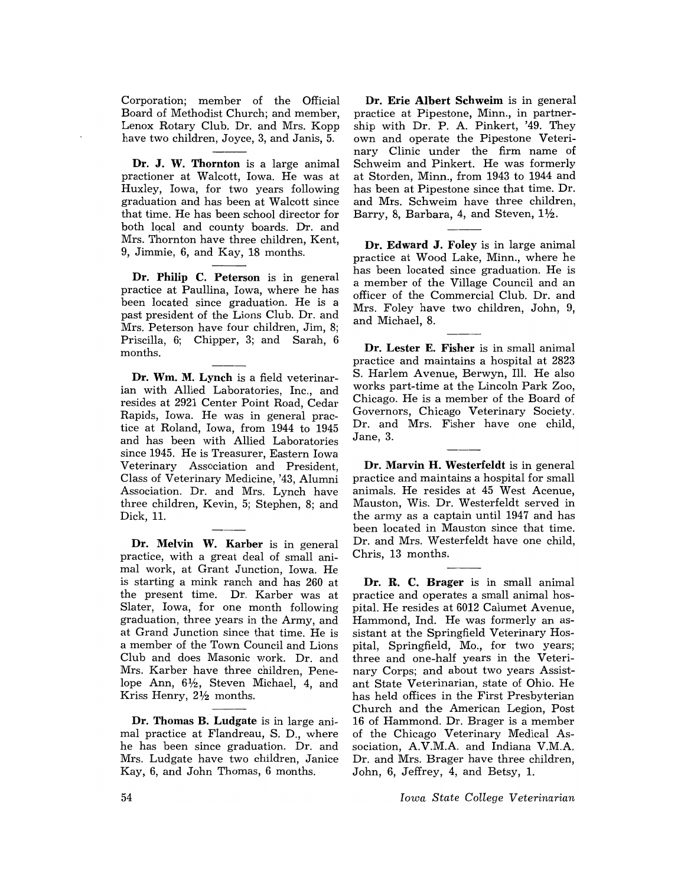Corporation; member of the Official Board of Methodist Church; and member, Lenox Rotary Club. Dr. and Mrs. Kopp have two children, Joyce, 3, and Janis, 5.

Dr. J. W. Thornton is a large animal practioner at Walcott, Iowa. He was at Huxley, Iowa, for two years following graduation and has been at Walcott since that time. He has been school director for both local and county boards. Dr. and Mrs. Thornton have three children, Kent, 9, Jimmie, 6, and Kay, 18 months.

Dr. Philip C. Peterson is in general practice at Paullina, Iowa, where he has been located since graduation. He is a past president of the Lions Club. Dr. and Mrs. Peterson have four children, Jim, 8; Priscilla, 6; Chipper, 3; and Sarah, 6 months.

Dr. Wm. M. Lynch is a field veterinarian with Allied Laboratories, Inc., and resides at 2921 Center Point Road, Cedar Rapids, Iowa. He was in general practice at Roland, Iowa, from 1944 to 1945 and has been with Allied Laboratories since 1945. He is Treasurer, Eastern Iowa Veterinary Association and President, Class of Veterinary Medicine, '43, Alumni Association. Dr. and Mrs. Lynch have three children, Kevin, 5; Stephen, 8; and Dick, 11.

Dr. Melvin W. Karber is in general practice, with a great deal of small animal work, at Grant Junction, Iowa. He is starting a mink ranch and has 260 at the present time. Dr. Karber was at Slater, Iowa, for one month following graduation, three years in the Army, and at Grand Junction since that time. He is a member of the Town Council and Lions Club and does Masonic work. Dr. and Mrs. Karber have three children, Penelope Ann, 61/2, Steven Michael, 4, and Kriss Henry, *2V2* months.

Dr. Thomas B. Ludgate is in large animal practice at Flandreau, S. D., where he has been since graduation. Dr. and Mrs. Ludgate have two children, Janice Kay, 6, and John Thomas, 6 months.

Dr. Erie Albert Schweim is in general practice at Pipestone, Minn., in partnership with Dr. P. A. Pinkert, '49. They own and operate the Pipestone Veterinary Clinic under the firm name of Schweim and Pinkert. He was formerly at Storden, Minn., from 1943 to 1944 and has been at Pipestone since that time. Dr. and Mrs. Schweim have three children, Barry, 8, Barbara, 4, and Steven,  $1\frac{1}{2}$ .

Dr. Edward J. Foley is in large animal practice at Wood Lake, Minn., where he has been located since graduation. He is a member of the Village Council and an officer of the Commercial Club. Dr. and Mrs. Foley have two children, John, 9, and Michael, 8.

Dr. Lester E. Fisher is in small animal practice and maintains a hospital at 2823 S. Harlem Avenue, Berwyn, Ill. He also works part-time at the Lincoln Park Zoo, Chicago. He is a member of the Board of Governors, Chicago Veterinary Society. Dr. and Mrs. Fisher have one child, Jane, 3.

Dr. Marvin H. Westerfeldt is in general practice and maintains a hospital for small animals. He resides at 45 West Acenue, Mauston, Wis. Dr. Westerfeldt served in the army as a captain until 1947 and has been located in Mauston since that time. Dr. and Mrs. Westerfeldt have one child, Chris, 13 months.

Dr. R. C. Brager is in small animal practice and operates a small animal hospital. He resides at 6012 Calumet Avenue, Hammond, Ind. He was formerly an assistant at the Springfield Veterinary Hospital, Springfield, Mo., for two years; three and one-half years in the Veterinary Corps; and about two years Assistant State Veterinarian, state of Ohio. He has held offices in the First Presbyterian Church and the American Legion, Post 16 of Hammond. Dr. Brager is a member of the Chicago Veterinary Medical Association, A.V.M.A. and Indiana V.M.A. Dr. and Mrs. Brager have three children, John, 6, Jeffrey, 4, and Betsy, 1.

*Iowa State College Veterinarian*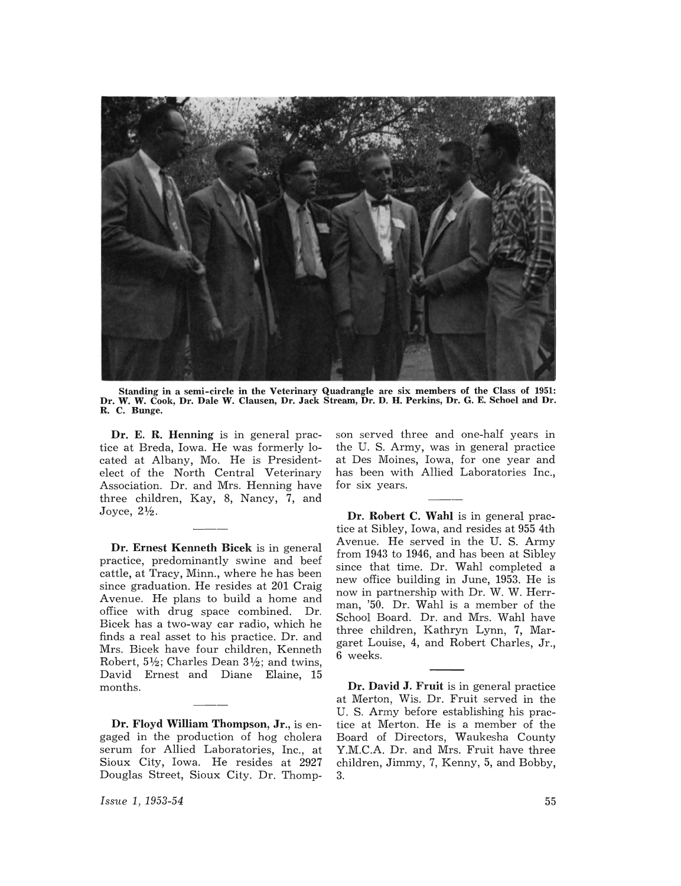

Standing in a semi-circle in the Veterinary Quadrangle are six members of the Class of 1951: Dr. W. W. Cook, Dr. Dale W. Clausen, Dr. Jack Stream, Dr. D. H. Perkins, Dr. G. E. Schoel and Dr. R. C. Bunge.

Dr. E. R. Henning is in general practice at Breda, Iowa. He was formerly located at Albany, Mo. He is Presidentelect of the North Central Veterinary Association. Dr. and Mrs. Henning have three children, Kay, 8, Nancy, 7, and Joyce,  $2\frac{1}{2}$ .

Dr. Ernest Kenneth Bicek is in general practice, predominantly swine and beef cattle, at Tracy, Minn., where he has been since graduation. He resides at 201 Craig Avenue. He plans to build a home and office with drug space combined. Dr. Bicek has a two-way car radio, which he finds a real asset to his practice. Dr. and Mrs. Bicek have four children, Kenneth Robert,  $5\frac{1}{2}$ ; Charles Dean  $3\frac{1}{2}$ ; and twins, David Ernest and Diane Elaine, 15 months.

Dr. Floyd William Thompson, Jr., is engaged in the production of hog cholera serum for Allied Laboratories, Inc., at Sioux City, Iowa. He resides at 2927 Douglas Street, Sioux City. Dr. Thomp-

son served three and one-half years in the U. S. Army, was in general practice at Des Moines, Iowa, for one year and has been with Allied Laboratories Inc., for six years.

Dr. Robert C. Wahl is in general practice at Sibley, Iowa, and resides at 955 4th Avenue. He served in the U. S. Army from 1943 to 1946, and has been at Sibley since that time. Dr. Wahl completed a new office building in June, 1953. He is now in partnership with Dr. W. W. Herrman, '50. Dr. Wahl is a member of the School Board. Dr. and Mrs. Wahl have three children, Kathryn Lynn, 7, Margaret Louise, 4, and Robert Charles, Jr., 6 weeks.

Dr. David J. Fruit is in general practice at Merton, Wis. Dr. Fruit served in the U. S. Army before establishing his practice at Merton. He is a member of the Board of Directors, Waukesha County Y.M.C.A. Dr. and Mrs. Fruit have three children, Jimmy, 7, Kenny, 5, and Bobby, 3.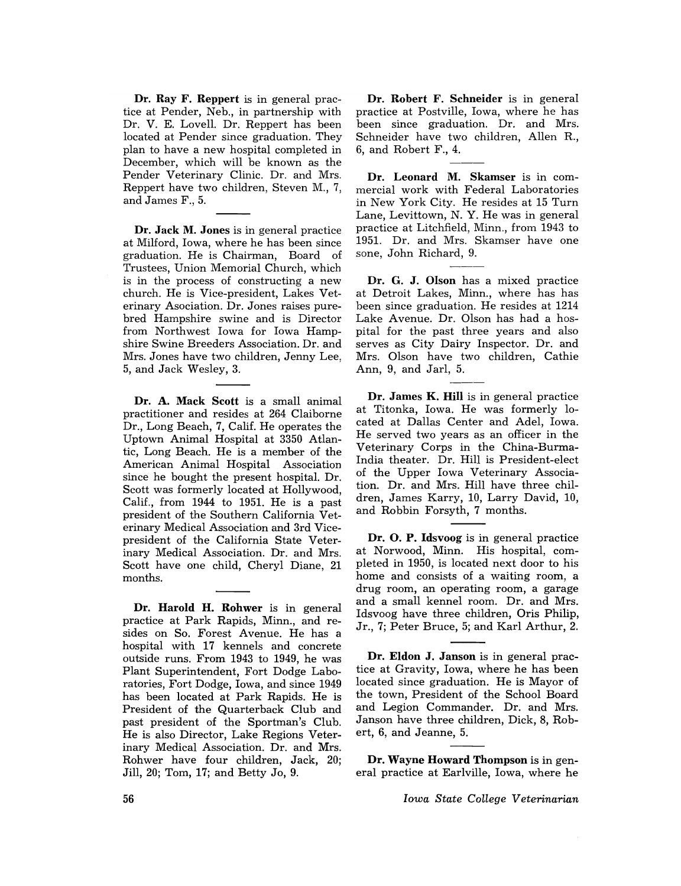Dr. Ray F. Reppert is in general practice at Pender, Neb., in partnership with Dr. V. E. Lovell. Dr. Reppert has been located at Pender since graduation. They plan to have a new hospital completed in December, which will be known as the Pender Veterinary Clinic. Dr. and Mrs. Reppert have two children, Steven M., 7, and James F., 5.

Dr. Jack M. Jones is in general practice at Milford, Iowa, where he has been since graduation. He is Chairman, Board of Trustees, Union Memorial Church, which is in the process of constructing a new church. He is Vice-president, Lakes Veterinary Asociation. Dr. Jones raises purebred Hampshire swine and is Director from Northwest Iowa for Iowa Hampshire Swine Breeders Association. Dr. and Mrs. Jones have two children, Jenny Lee, 5, and Jack Wesley, 3.

Dr. A. Mack Scott is a small animal practitioner and resides at 264 Claiborne Dr., Long Beach, 7, Calif. He operates the Uptown Animal Hospital at 3350 Atlantic, Long Beach. He is a member of the American Animal Hospital Association since he bought the present hospital. Dr. Scott was formerly located at Hollywood, Calif., from 1944 to 1951. He is a past president of the Southern California Veterinary Medical Association and 3rd Vicepresident of the California State Veterinary Medical Association. Dr. and Mrs. Scott have one child, Cheryl Diane, 21 months.

Dr. Harold H. Rohwer is in general practice at Park Rapids, Minn., and resides on So. Forest Avenue. He has a hospital with 17 kennels and concrete outside runs. From 1943 to 1949, he was Plant Superintendent, Fort Dodge Laboratories, Fort Dodge, Iowa, and since 1949 has been located at Park Rapids. He is President of the Quarterback Club and past president of the Sportman's Club. He is also Director, Lake Regions Veterinary Medical Association. Dr. and Mrs. Rohwer have four children, Jack, 20; Jill, 20; Tom, 17; and Betty Jo, 9.

Dr. Robert F. Schneider is in general practice at Postville, Iowa, where he has been since graduation. Dr. and Mrs. Schneider have two children, Allen R., 6, and Robert F., 4.

Dr. Leonard M. Skamser is in commercial work with Federal Laboratories in New York City. He resides at 15 Turn Lane, Levittown, N. Y. He was in general practice at Litchfield, Minn., from 1943 to 1951. Dr. and Mrs. Skamser have one sone, John Richard, 9.

Dr. G. J. Olson has a mixed practice at Detroit Lakes, Minn., where has has been since graduation. He resides at 1214 Lake Avenue. Dr. Olson has had a hospital for the past three years and also serves as City Dairy Inspector. Dr. and Mrs. Olson have two children, Cathie Ann, 9, and Jarl, 5.

Dr. James K. Hill is in general practice at Titonka, Iowa. He was formerly located at Dallas Center and Adel, Iowa. He served two years as an officer in the Veterinary Corps in the China-Burma-India theater. Dr. Hill is President-elect of the Upper Iowa Veterinary Association. Dr. and Mrs. Hill have three children, James Karry, 10, Larry David, 10, and Robbin Forsyth, 7 months.

Dr. O. P. Idsvoog is in general practice at Norwood, Minn. His hospital, completed in 1950, is located next door to his home and consists of a waiting room, a drug room, an operating room, a garage and a small kennel room. Dr. and Mrs. Idsvoog have three children, Oris Philip, Jr., 7; Peter Bruce, 5; and Karl Arthur, 2.

Dr. Eldon J. Janson is in general practice at Gravity, Iowa, where he has been located since graduation. He is Mayor of the town, President of the School Board and Legion Commander. Dr. and Mrs. Janson have three children, Dick, 8, Robert, 6, and Jeanne, 5.

Dr. Wayne Howard Thompson is in general practice at Earlville, Iowa, where he